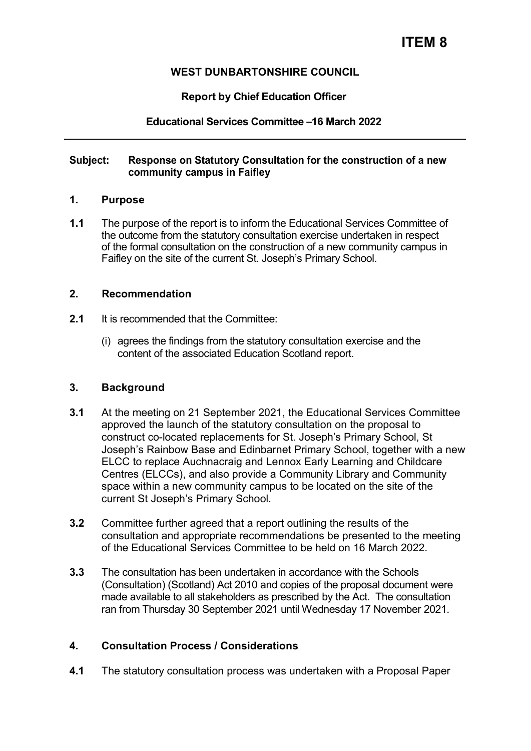## **WEST DUNBARTONSHIRE COUNCIL**

## **Report by Chief Education Officer**

## **Educational Services Committee –16 March 2022**

### **Subject: Response on Statutory Consultation for the construction of a new community campus in Faifley**

#### **1. Purpose**

**1.1** The purpose of the report is to inform the Educational Services Committee of the outcome from the statutory consultation exercise undertaken in respect of the formal consultation on the construction of a new community campus in Faifley on the site of the current St. Joseph's Primary School.

#### **2. Recommendation**

- **2.1** It is recommended that the Committee:
	- (i) agrees the findings from the statutory consultation exercise and the content of the associated Education Scotland report.

### **3. Background**

- **3.1** At the meeting on 21 September 2021, the Educational Services Committee approved the launch of the statutory consultation on the proposal to construct co-located replacements for St. Joseph's Primary School, St Joseph's Rainbow Base and Edinbarnet Primary School, together with a new ELCC to replace Auchnacraig and Lennox Early Learning and Childcare Centres (ELCCs), and also provide a Community Library and Community space within a new community campus to be located on the site of the current St Joseph's Primary School.
- **3.2** Committee further agreed that a report outlining the results of the consultation and appropriate recommendations be presented to the meeting of the Educational Services Committee to be held on 16 March 2022.
- **3.3** The consultation has been undertaken in accordance with the Schools (Consultation) (Scotland) Act 2010 and copies of the proposal document were made available to all stakeholders as prescribed by the Act. The consultation ran from Thursday 30 September 2021 until Wednesday 17 November 2021.

### **4. Consultation Process / Considerations**

**4.1** The statutory consultation process was undertaken with a Proposal Paper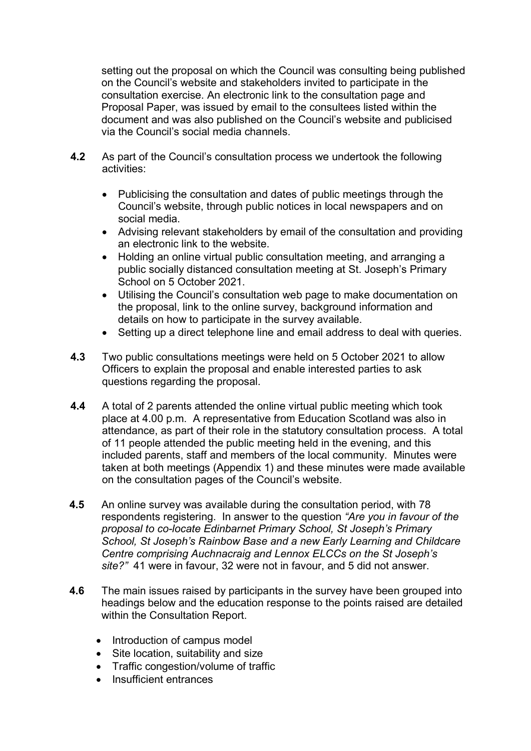setting out the proposal on which the Council was consulting being published on the Council's website and stakeholders invited to participate in the consultation exercise. An electronic link to the consultation page and Proposal Paper, was issued by email to the consultees listed within the document and was also published on the Council's website and publicised via the Council's social media channels.

- **4.2** As part of the Council's consultation process we undertook the following activities:
	- Publicising the consultation and dates of public meetings through the Council's website, through public notices in local newspapers and on social media.
	- Advising relevant stakeholders by email of the consultation and providing an electronic link to the website.
	- Holding an online virtual public consultation meeting, and arranging a public socially distanced consultation meeting at St. Joseph's Primary School on 5 October 2021.
	- Utilising the Council's consultation web page to make documentation on the proposal, link to the online survey, background information and details on how to participate in the survey available.
	- Setting up a direct telephone line and email address to deal with queries.
- **4.3** Two public consultations meetings were held on 5 October 2021 to allow Officers to explain the proposal and enable interested parties to ask questions regarding the proposal.
- **4.4** A total of 2 parents attended the online virtual public meeting which took place at 4.00 p.m. A representative from Education Scotland was also in attendance, as part of their role in the statutory consultation process. A total of 11 people attended the public meeting held in the evening, and this included parents, staff and members of the local community. Minutes were taken at both meetings (Appendix 1) and these minutes were made available on the consultation pages of the Council's website.
- **4.5** An online survey was available during the consultation period, with 78 respondents registering. In answer to the question *"Are you in favour of the proposal to co-locate Edinbarnet Primary School, St Joseph's Primary School, St Joseph's Rainbow Base and a new Early Learning and Childcare Centre comprising Auchnacraig and Lennox ELCCs on the St Joseph's site?"* 41 were in favour, 32 were not in favour, and 5 did not answer.
- **4.6** The main issues raised by participants in the survey have been grouped into headings below and the education response to the points raised are detailed within the Consultation Report.
	- Introduction of campus model
	- Site location, suitability and size
	- Traffic congestion/volume of traffic
	- Insufficient entrances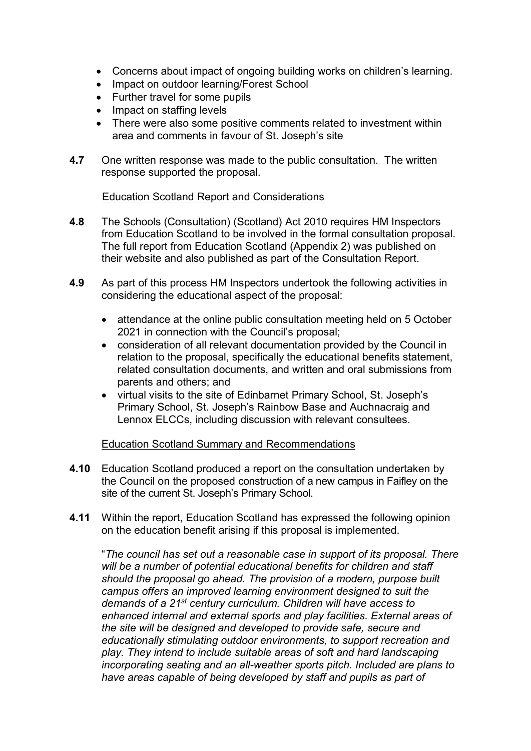- Concerns about impact of ongoing building works on children's learning.
- Impact on outdoor learning/Forest School
- Further travel for some pupils
- Impact on staffing levels
- There were also some positive comments related to investment within area and comments in favour of St. Joseph's site
- **4.7** One written response was made to the public consultation. The written response supported the proposal.

### Education Scotland Report and Considerations

- **4.8** The Schools (Consultation) (Scotland) Act 2010 requires HM Inspectors from Education Scotland to be involved in the formal consultation proposal. The full report from Education Scotland (Appendix 2) was published on their website and also published as part of the Consultation Report.
- **4.9** As part of this process HM Inspectors undertook the following activities in considering the educational aspect of the proposal:
	- attendance at the online public consultation meeting held on 5 October 2021 in connection with the Council's proposal;
	- consideration of all relevant documentation provided by the Council in relation to the proposal, specifically the educational benefits statement, related consultation documents, and written and oral submissions from parents and others; and
	- virtual visits to the site of Edinbarnet Primary School, St. Joseph's Primary School, St. Joseph's Rainbow Base and Auchnacraig and Lennox ELCCs, including discussion with relevant consultees.

### Education Scotland Summary and Recommendations

- **4.10** Education Scotland produced a report on the consultation undertaken by the Council on the proposed construction of a new campus in Faifley on the site of the current St. Joseph's Primary School.
- **4.11** Within the report, Education Scotland has expressed the following opinion on the education benefit arising if this proposal is implemented.

"*The council has set out a reasonable case in support of its proposal. There will be a number of potential educational benefits for children and staff should the proposal go ahead. The provision of a modern, purpose built campus offers an improved learning environment designed to suit the demands of a 21st century curriculum. Children will have access to enhanced internal and external sports and play facilities. External areas of the site will be designed and developed to provide safe, secure and educationally stimulating outdoor environments, to support recreation and play. They intend to include suitable areas of soft and hard landscaping incorporating seating and an all-weather sports pitch. Included are plans to have areas capable of being developed by staff and pupils as part of*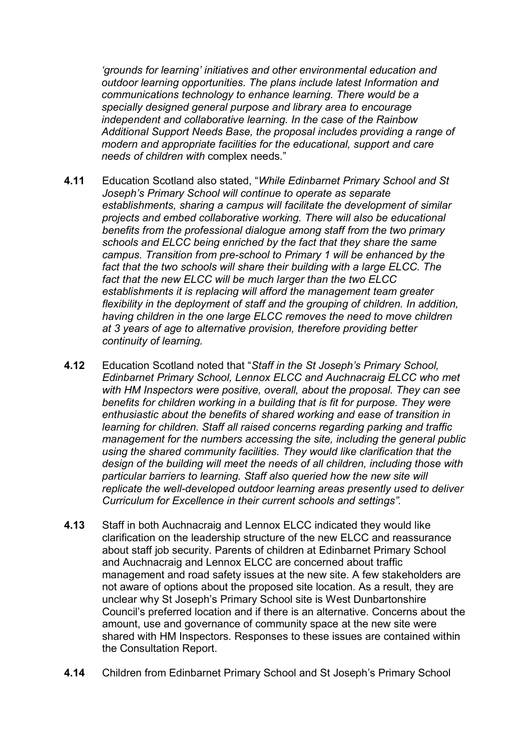*'grounds for learning' initiatives and other environmental education and outdoor learning opportunities. The plans include latest Information and communications technology to enhance learning. There would be a specially designed general purpose and library area to encourage independent and collaborative learning. In the case of the Rainbow Additional Support Needs Base, the proposal includes providing a range of modern and appropriate facilities for the educational, support and care needs of children with* complex needs."

- **4.11** Education Scotland also stated, "*While Edinbarnet Primary School and St Joseph's Primary School will continue to operate as separate establishments, sharing a campus will facilitate the development of similar projects and embed collaborative working. There will also be educational benefits from the professional dialogue among staff from the two primary schools and ELCC being enriched by the fact that they share the same campus. Transition from pre-school to Primary 1 will be enhanced by the fact that the two schools will share their building with a large ELCC. The fact that the new ELCC will be much larger than the two ELCC establishments it is replacing will afford the management team greater flexibility in the deployment of staff and the grouping of children. In addition, having children in the one large ELCC removes the need to move children at 3 years of age to alternative provision, therefore providing better continuity of learning.*
- **4.12** Education Scotland noted that "*Staff in the St Joseph's Primary School, Edinbarnet Primary School, Lennox ELCC and Auchnacraig ELCC who met with HM Inspectors were positive, overall, about the proposal. They can see*  benefits for children working in a building that is fit for purpose. They were *enthusiastic about the benefits of shared working and ease of transition in learning for children. Staff all raised concerns regarding parking and traffic management for the numbers accessing the site, including the general public using the shared community facilities. They would like clarification that the design of the building will meet the needs of all children, including those with particular barriers to learning. Staff also queried how the new site will replicate the well-developed outdoor learning areas presently used to deliver Curriculum for Excellence in their current schools and settings".*
- **4.13** Staff in both Auchnacraig and Lennox ELCC indicated they would like clarification on the leadership structure of the new ELCC and reassurance about staff job security. Parents of children at Edinbarnet Primary School and Auchnacraig and Lennox ELCC are concerned about traffic management and road safety issues at the new site. A few stakeholders are not aware of options about the proposed site location. As a result, they are unclear why St Joseph's Primary School site is West Dunbartonshire Council's preferred location and if there is an alternative. Concerns about the amount, use and governance of community space at the new site were shared with HM Inspectors. Responses to these issues are contained within the Consultation Report.
- **4.14** Children from Edinbarnet Primary School and St Joseph's Primary School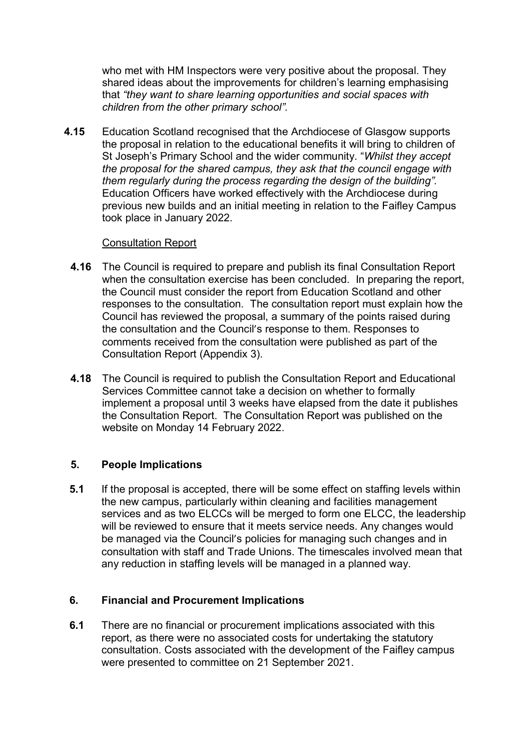who met with HM Inspectors were very positive about the proposal. They shared ideas about the improvements for children's learning emphasising that *"they want to share learning opportunities and social spaces with children from the other primary school".* 

**4.15** Education Scotland recognised that the Archdiocese of Glasgow supports the proposal in relation to the educational benefits it will bring to children of St Joseph's Primary School and the wider community. "*Whilst they accept the proposal for the shared campus, they ask that the council engage with them regularly during the process regarding the design of the building".*  Education Officers have worked effectively with the Archdiocese during previous new builds and an initial meeting in relation to the Faifley Campus took place in January 2022.

### Consultation Report

- **4.16** The Council is required to prepare and publish its final Consultation Report when the consultation exercise has been concluded. In preparing the report, the Council must consider the report from Education Scotland and other responses to the consultation. The consultation report must explain how the Council has reviewed the proposal, a summary of the points raised during the consultation and the Council's response to them. Responses to comments received from the consultation were published as part of the Consultation Report (Appendix 3).
- **4.18** The Council is required to publish the Consultation Report and Educational Services Committee cannot take a decision on whether to formally implement a proposal until 3 weeks have elapsed from the date it publishes the Consultation Report. The Consultation Report was published on the website on Monday 14 February 2022.

# **5. People Implications**

**5.1** If the proposal is accepted, there will be some effect on staffing levels within the new campus, particularly within cleaning and facilities management services and as two ELCCs will be merged to form one ELCC, the leadership will be reviewed to ensure that it meets service needs. Any changes would be managed via the Council's policies for managing such changes and in consultation with staff and Trade Unions. The timescales involved mean that any reduction in staffing levels will be managed in a planned way.

# **6. Financial and Procurement Implications**

**6.1** There are no financial or procurement implications associated with this report, as there were no associated costs for undertaking the statutory consultation. Costs associated with the development of the Faifley campus were presented to committee on 21 September 2021.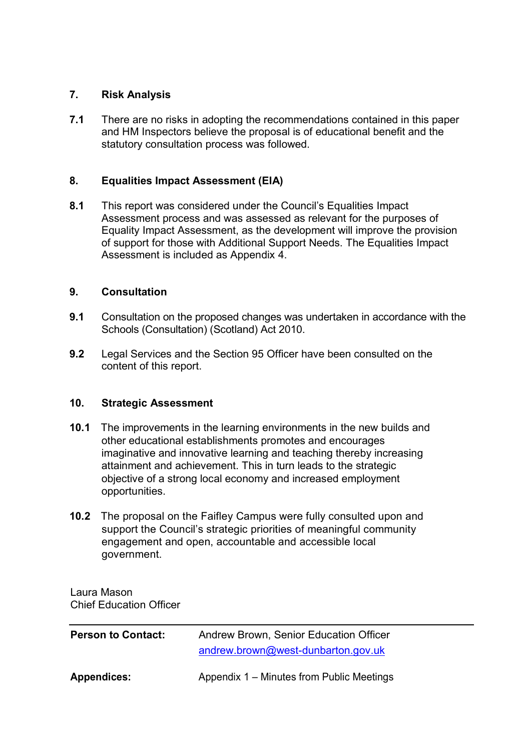## **7. Risk Analysis**

**7.1** There are no risks in adopting the recommendations contained in this paper and HM Inspectors believe the proposal is of educational benefit and the statutory consultation process was followed.

## **8. Equalities Impact Assessment (EIA)**

8.1 This report was considered under the Council's Equalities Impact Assessment process and was assessed as relevant for the purposes of Equality Impact Assessment, as the development will improve the provision of support for those with Additional Support Needs. The Equalities Impact Assessment is included as Appendix 4.

## **9. Consultation**

- **9.1** Consultation on the proposed changes was undertaken in accordance with the Schools (Consultation) (Scotland) Act 2010.
- **9.2** Legal Services and the Section 95 Officer have been consulted on the content of this report.

### **10. Strategic Assessment**

- **10.1** The improvements in the learning environments in the new builds and other educational establishments promotes and encourages imaginative and innovative learning and teaching thereby increasing attainment and achievement. This in turn leads to the strategic objective of a strong local economy and increased employment opportunities.
- **10.2** The proposal on the Faifley Campus were fully consulted upon and support the Council's strategic priorities of meaningful community engagement and open, accountable and accessible local government.

Laura Mason Chief Education Officer

| <b>Person to Contact:</b> | Andrew Brown, Senior Education Officer    |
|---------------------------|-------------------------------------------|
|                           | andrew.brown@west-dunbarton.gov.uk        |
| Appendices:               | Appendix 1 – Minutes from Public Meetings |